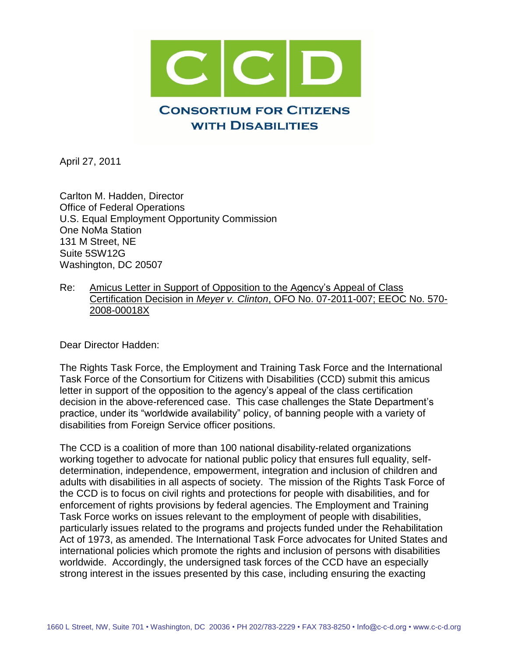

April 27, 2011

Carlton M. Hadden, Director Office of Federal Operations U.S. Equal Employment Opportunity Commission One NoMa Station 131 M Street, NE Suite 5SW12G Washington, DC 20507

Re: Amicus Letter in Support of Opposition to the Agency's Appeal of Class Certification Decision in *Meyer v. Clinton*, OFO No. 07-2011-007; EEOC No. 570- 2008-00018X

Dear Director Hadden:

The Rights Task Force, the Employment and Training Task Force and the International Task Force of the Consortium for Citizens with Disabilities (CCD) submit this amicus letter in support of the opposition to the agency's appeal of the class certification decision in the above-referenced case. This case challenges the State Department's practice, under its "worldwide availability" policy, of banning people with a variety of disabilities from Foreign Service officer positions.

The CCD is a coalition of more than 100 national disability-related organizations working together to advocate for national public policy that ensures full equality, selfdetermination, independence, empowerment, integration and inclusion of children and adults with disabilities in all aspects of society. The mission of the Rights Task Force of the CCD is to focus on civil rights and protections for people with disabilities, and for enforcement of rights provisions by federal agencies. The Employment and Training Task Force works on issues relevant to the employment of people with disabilities, particularly issues related to the programs and projects funded under the Rehabilitation Act of 1973, as amended. The International Task Force advocates for United States and international policies which promote the rights and inclusion of persons with disabilities worldwide. Accordingly, the undersigned task forces of the CCD have an especially strong interest in the issues presented by this case, including ensuring the exacting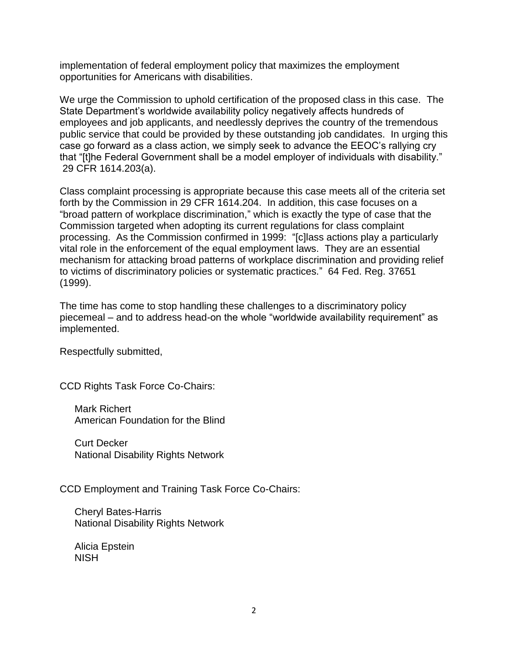implementation of federal employment policy that maximizes the employment opportunities for Americans with disabilities.

We urge the Commission to uphold certification of the proposed class in this case. The State Department's worldwide availability policy negatively affects hundreds of employees and job applicants, and needlessly deprives the country of the tremendous public service that could be provided by these outstanding job candidates. In urging this case go forward as a class action, we simply seek to advance the EEOC's rallying cry that "[t]he Federal Government shall be a model employer of individuals with disability." 29 CFR 1614.203(a).

Class complaint processing is appropriate because this case meets all of the criteria set forth by the Commission in 29 CFR 1614.204. In addition, this case focuses on a "broad pattern of workplace discrimination," which is exactly the type of case that the Commission targeted when adopting its current regulations for class complaint processing. As the Commission confirmed in 1999: "[c]lass actions play a particularly vital role in the enforcement of the equal employment laws. They are an essential mechanism for attacking broad patterns of workplace discrimination and providing relief to victims of discriminatory policies or systematic practices." 64 Fed. Reg. 37651 (1999).

The time has come to stop handling these challenges to a discriminatory policy piecemeal – and to address head-on the whole "worldwide availability requirement" as implemented.

Respectfully submitted,

CCD Rights Task Force Co-Chairs:

Mark Richert American Foundation for the Blind

Curt Decker National Disability Rights Network

CCD Employment and Training Task Force Co-Chairs:

Cheryl Bates-Harris National Disability Rights Network

Alicia Epstein NISH